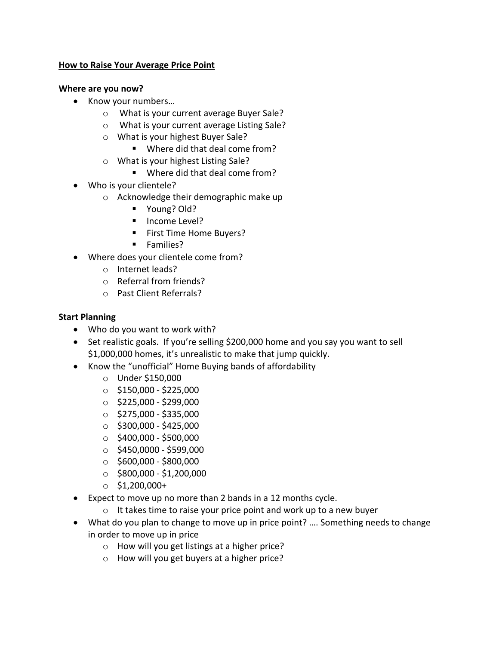### **How to Raise Your Average Price Point**

### **Where are you now?**

- Know your numbers…
	- o What is your current average Buyer Sale?
	- o What is your current average Listing Sale?
	- o What is your highest Buyer Sale?
		- Where did that deal come from?
	- o What is your highest Listing Sale?
		- Where did that deal come from?
- Who is your clientele?
	- o Acknowledge their demographic make up
		- § Young? Old?
		- Income Level?
		- First Time Home Buyers?
		- Families?
- Where does your clientele come from?
	- o Internet leads?
	- o Referral from friends?
	- o Past Client Referrals?

#### **Start Planning**

- Who do you want to work with?
- Set realistic goals. If you're selling \$200,000 home and you say you want to sell \$1,000,000 homes, it's unrealistic to make that jump quickly.
- Know the "unofficial" Home Buying bands of affordability
	- o Under \$150,000
	- $\circ$  \$150,000 \$225,000
	- $\circ$  \$225,000 \$299,000
	- $\circ$  \$275,000 \$335,000
	- $\circ$  \$300,000 \$425,000
	- $\circ$  \$400,000 \$500,000
	- $\circ$  \$450,0000 \$599,000
	- $\circ$  \$600,000 \$800,000
	- $\circ$  \$800,000 \$1,200,000
	- $\circ$  \$1,200,000+
- Expect to move up no more than 2 bands in a 12 months cycle.
	- o It takes time to raise your price point and work up to a new buyer
- What do you plan to change to move up in price point? .... Something needs to change in order to move up in price
	- o How will you get listings at a higher price?
	- o How will you get buyers at a higher price?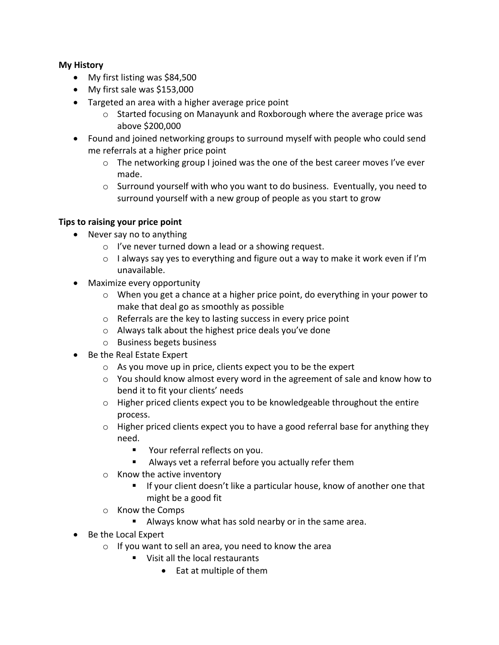# **My History**

- My first listing was \$84,500
- My first sale was \$153,000
- Targeted an area with a higher average price point
	- $\circ$  Started focusing on Manayunk and Roxborough where the average price was above \$200,000
- Found and joined networking groups to surround myself with people who could send me referrals at a higher price point
	- $\circ$  The networking group I joined was the one of the best career moves I've ever made.
	- $\circ$  Surround yourself with who you want to do business. Eventually, you need to surround yourself with a new group of people as you start to grow

## **Tips to raising your price point**

- Never say no to anything
	- o I've never turned down a lead or a showing request.
	- $\circ$  I always say yes to everything and figure out a way to make it work even if I'm unavailable.
- Maximize every opportunity
	- o When you get a chance at a higher price point, do everything in your power to make that deal go as smoothly as possible
	- o Referrals are the key to lasting success in every price point
	- o Always talk about the highest price deals you've done
	- o Business begets business
- Be the Real Estate Expert
	- o As you move up in price, clients expect you to be the expert
	- $\circ$  You should know almost every word in the agreement of sale and know how to bend it to fit your clients' needs
	- o Higher priced clients expect you to be knowledgeable throughout the entire process.
	- $\circ$  Higher priced clients expect you to have a good referral base for anything they need.
		- Your referral reflects on you.
		- Always vet a referral before you actually refer them
	- o Know the active inventory
		- If your client doesn't like a particular house, know of another one that might be a good fit
	- o Know the Comps
		- Always know what has sold nearby or in the same area.
- Be the Local Expert
	- $\circ$  If you want to sell an area, you need to know the area
		- Visit all the local restaurants
			- Eat at multiple of them